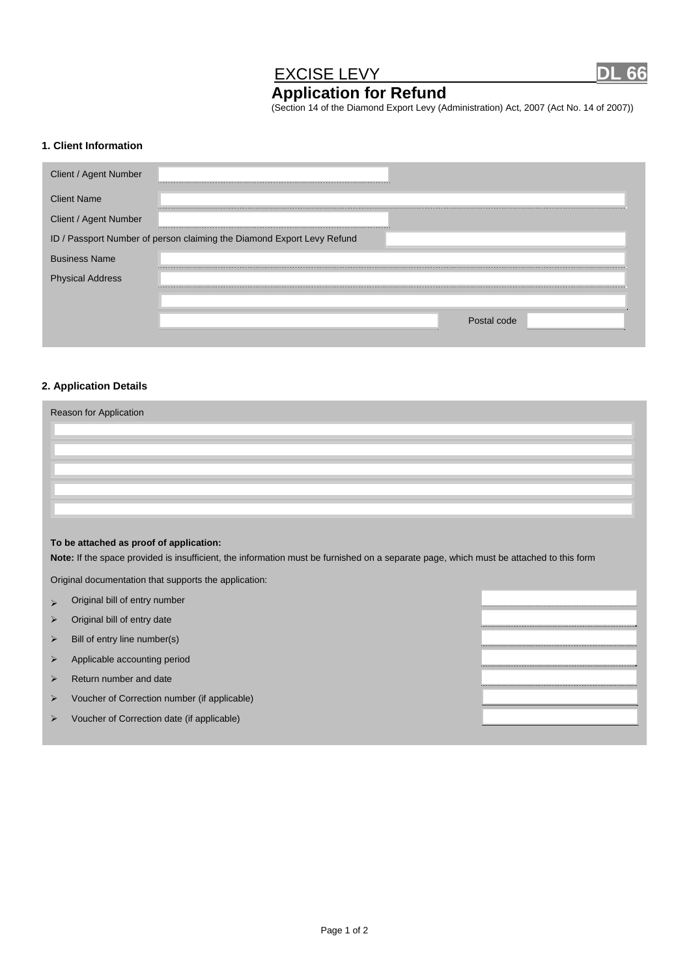## EXCISE LEVY DL 66

# **Application for Refund**

(Section 14 of the Diamond Export Levy (Administration) Act, 2007 (Act No. 14 of 2007))

#### **1. Client Information**

| Client / Agent Number   | <b>****************</b>                                                |
|-------------------------|------------------------------------------------------------------------|
| <b>Client Name</b>      |                                                                        |
| Client / Agent Number   |                                                                        |
|                         | ID / Passport Number of person claiming the Diamond Export Levy Refund |
| <b>Business Name</b>    |                                                                        |
| <b>Physical Address</b> |                                                                        |
|                         |                                                                        |
|                         | Postal code                                                            |
|                         |                                                                        |

#### **2. Application Details**

| Reason for Application |  |  |  |  |  |
|------------------------|--|--|--|--|--|
|                        |  |  |  |  |  |
|                        |  |  |  |  |  |
|                        |  |  |  |  |  |
|                        |  |  |  |  |  |
|                        |  |  |  |  |  |
|                        |  |  |  |  |  |

#### **To be attached as proof of application:**

**Note:** If the space provided is insufficient, the information must be furnished on a separate page, which must be attached to this form

Original documentation that supports the application:

- $\triangleright$  Original bill of entry number
- $\triangleright$  Original bill of entry date
- $\triangleright$  Bill of entry line number(s)
- $\triangleright$  Applicable accounting period
- $\triangleright$  Return number and date
- Voucher of Correction number (if applicable)
- Voucher of Correction date (if applicable)